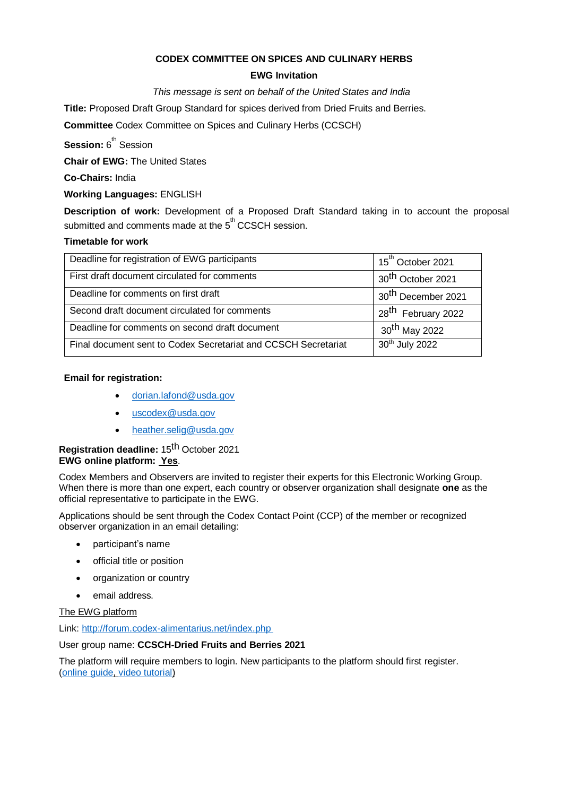## **CODEX COMMITTEE ON SPICES AND CULINARY HERBS**

## **EWG Invitation**

### *This message is sent on behalf of the United States and India*

**Title:** Proposed Draft Group Standard for spices derived from Dried Fruits and Berries.

**Committee** Codex Committee on Spices and Culinary Herbs (CCSCH)

**Session:** 6<sup>th</sup> Session

**Chair of EWG:** The United States

**Co-Chairs:** India

## **Working Languages:** ENGLISH

**Description of work:** Development of a Proposed Draft Standard taking in to account the proposal submitted and comments made at the 5<sup>th</sup> CCSCH session.

# **Timetable for work**

| Deadline for registration of EWG participants                  | 15 <sup>th</sup> October 2021  |
|----------------------------------------------------------------|--------------------------------|
| First draft document circulated for comments                   | 30 <sup>th</sup> October 2021  |
| Deadline for comments on first draft                           | 30 <sup>th</sup> December 2021 |
| Second draft document circulated for comments                  | 28 <sup>th</sup> February 2022 |
| Deadline for comments on second draft document                 | 30 <sup>th</sup> May 2022      |
| Final document sent to Codex Secretariat and CCSCH Secretariat | 30th July 2022                 |

## **Email for registration:**

- [dorian.lafond@usda.gov](mailto:dorian.lafond@usda.gov)
- [uscodex@usda.gov](mailto:uscodex@usda.gov)
- [heather.selig@usda.gov](mailto:heather.selig@usda.gov)

## **Registration deadline:** 15th October 2021 **EWG online platform: Yes**.

Codex Members and Observers are invited to register their experts for this Electronic Working Group. When there is more than one expert, each country or observer organization shall designate **one** as the official representative to participate in the EWG.

Applications should be sent through the Codex Contact Point (CCP) of the member or recognized observer organization in an email detailing:

- participant's name
- official title or position
- organization or country
- email address.

The EWG platform

Link:<http://forum.codex-alimentarius.net/index.php>

### User group name: **CCSCH-Dried Fruits and Berries 2021**

The platform will require members to login. New participants to the platform should first register. [\(online](http://forum.codex-alimentarius.net/viewtopic.php?f=13&t=11) [guide,](http://forum.codex-alimentarius.net/viewtopic.php?f=13&t=11) [video tutorial\)](https://youtu.be/EJn9k7wNSwk)